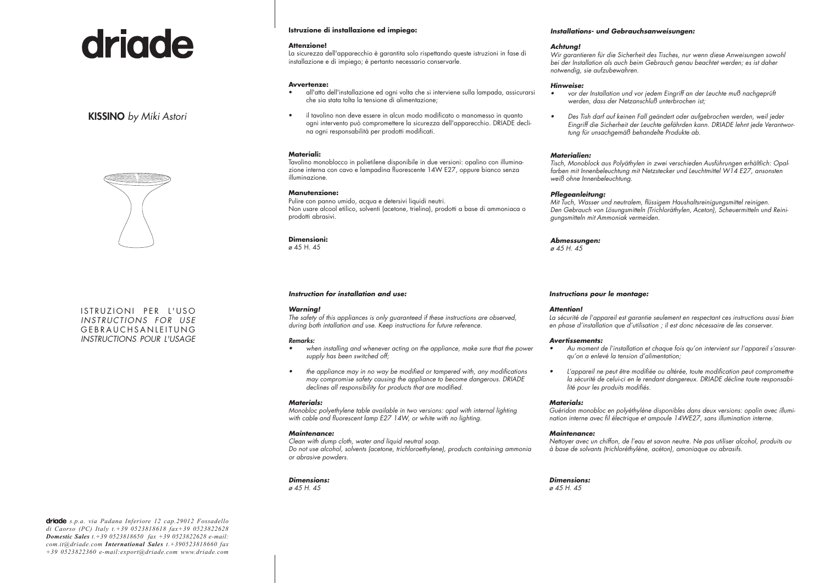# driade

# KISSINO *by Miki Astori*



ISTRUZIONI PER L'USO *INSTRUCTIONS FOR USE* GEBRAUCHSANLEITUNG *INSTRUCTIONS POUR L'USAGE*

# **Istruzione di installazione ed impiego:**

#### **Attenzione!**

La sicurezza dell'apparecchio è garantita solo rispettando queste istruzioni in fase di installazione e di impiego; è pertanto necessario conservarle.

#### **Avvertenze:**

- all'atto dell'installazione ed ogni volta che si interviene sulla lampada, assicurarsi che sia stata tolta la tensione di alimentazione;
- • il tavolino non deve essere in alcun modo modificato o manomesso in quanto ogni intervento può compromettere la sicurezza dell'apparecchio. DRIADE declina ogni responsabilità per prodotti modificati.

#### **Materiali:**

Tavolino monoblocco in polietilene disponibile in due versioni: opalino con illuminazione interna con cavo e lampadina fluorescente 14W E27, oppure bianco senza illuminazione.

# **Manutenzione:**

Pulire con panno umido, acqua e detersivi liquidi neutri. Non usare alcool etilico, solventi (acetone, trielina), prodotti a base di ammoniaca o prodotti abrasivi.

**Dimensioni:**  $\alpha$  45 H 45

# *Instruction for installation and use:*

#### *Warning!*

*The safety of this appliances is only guaranteed if these instructions are observed, during both intallation and use. Keep instructions for future reference.*

#### *Remarks:*

- when installing and whenever acting on the appliance, make sure that the power *supply has been switched off;*
- the appliance may in no way be modified or tampered with, any modifications *may compromise safety causing the appliance to become dangerous. DRIADE declines all responsibility for products that are modified.*

#### *Materials:*

*Monobloc polyethylene table available in two versions: opal with internal lighting with cable and fluorescent lamp E27 14W, or white with no lighting.*

#### *Maintenance:*

*Clean with dump cloth, water and liquid neutral soap. Do not use alcohol, solvents (acetone, trichloroethylene), products containing ammonia or abrasive powders.*

#### *Dimensions: ø 45 H. 45*

#### *Installations- und Gebrauchsanweisungen:*

#### *Achtung!*

*Wir garantieren für die Sicherheit des Tisches, nur wenn diese Anweisungen sowohl bei der Installation als auch beim Gebrauch genau beachtet werden; es ist daher notwendig, sie aufzubewahren.*

#### *Hinweise:*

- vor der Installation und vor jedem Eingriff an der Leuchte muß nachgeprüft *werden, dass der Netzanschluß unterbrochen ist;*
- • *Des Tish darf auf keinen Fall geändert oder aufgebrochen werden, weil jeder Eingriff die Sicherheit der Leuchte gefährden kann. DRIADE lehnt jede Verantwortung für unsachgemäß behandelte Produkte ab.*

# *Materialien:*

*Tisch, Monoblock aus Polyäthylen in zwei verschieden Ausführungen erhältlich: Opalfarben mit Innenbeleuchtung mit Netzstecker und Leuchtmittel W14 E27, ansonsten weiß ohne Innenbeleuchtung.*

### *Pflegeanleitung:*

*Mit Tuch, Wasser und neutralem, flüssigem Haushaltsreinigungsmittel reinigen. Den Gebrauch von Lösungsmitteln (Trichloräthylen, Aceton), Scheuermitteln und Reinigungsmitteln mit Ammoniak vermeiden.*

# *Abmessungen:*

*ø 45 H. 45*

#### *Instructions pour le montage:*

#### *Attention!*

*La sécurité de l'appareil est garantie seulement en respectant ces instructions aussi bien en phase d'installation que d'utilisation ; il est donc nécessaire de les conserver.*

#### *Avertissements:*

- Au moment de l'installation et chaque fois qu'on intervient sur l'appareil s'assurer*qu'on a enlevé la tension d'alimentation;*
- • *L'appareil ne peut être modifiée ou altérée, toute modification peut compromettre la sécurité de celui-ci en le rendant dangereux. DRIADE décline toute responsabilité pour les produits modifiés.*

#### *Materials:*

*Guéridon monobloc en polyéthylène disponibles dans deux versions: opalin avec illumination interne avec fil électrique et ampoule 14WE27, sans illumination interne.*

#### *Maintenance:*

*Nettoyer avec un chiffon, de l'eau et savon neutre. Ne pas utiliser alcohol, produits ou à base de solvants (trichloréthylène, acéton), amoniaque ou abrasifs.*

*Dimensions: ø 45 H. 45*

*s.p.a. via Padana Inferiore 12 cap.29012 Fossadello di Caorso (PC) Italy t.+39 0523818618 fax+39 0523822628 Domestic Sales t.+39 0523818650 fax +39 0523822628 e-mail: com.it@driade.com International Sales t.+390523818660 fax +39 0523822360 e-mail:export@driade.com www.driade.com*